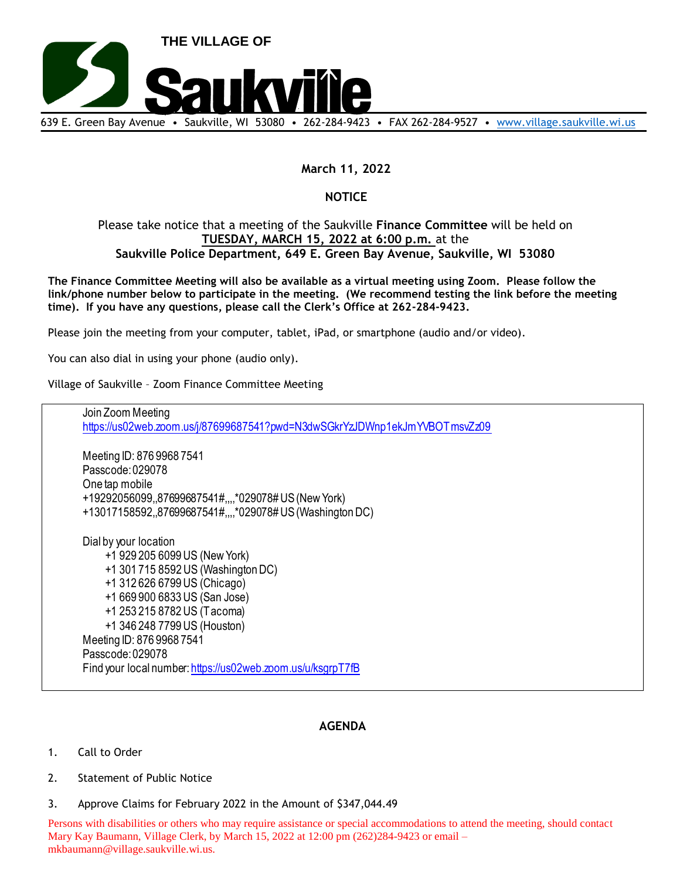

## **March 11, 2022**

## **NOTICE**

## Please take notice that a meeting of the Saukville **Finance Committee** will be held on **TUESDAY, MARCH 15, 2022 at 6:00 p.m.** at the **Saukville Police Department, 649 E. Green Bay Avenue, Saukville, WI 53080**

**The Finance Committee Meeting will also be available as a virtual meeting using Zoom. Please follow the link/phone number below to participate in the meeting. (We recommend testing the link before the meeting time). If you have any questions, please call the Clerk's Office at 262-284-9423.**

Please join the meeting from your computer, tablet, iPad, or smartphone (audio and/or video).

You can also dial in using your phone (audio only).

Village of Saukville – Zoom Finance Committee Meeting

Join Zoom Meeting https://us02web.zoom.us/j/87699687541?pwd=N3dwSGkrYzJDWnp1ekJmYVBOTmsvZz09 Meeting ID: 876 9968 7541 Passcode: 029078 One tap mobile +19292056099,,87699687541#,,,,\*029078# US (New York) +13017158592,,87699687541#,,,,\*029078# US (Washington DC) Dial by your location +1 929 205 6099 US (New York) +1 301 715 8592 US (Washington DC) +1 312 626 6799 US (Chicago) +1 669 900 6833 US (San Jose) +1 253 215 8782 US (Tacoma) +1 346 248 7799 US (Houston) Meeting ID: 876 9968 7541 Passcode: 029078

Find your local number: https://us02web.zoom.us/u/ksgrpT7fB

## **AGENDA**

- 1. Call to Order
- 2. Statement of Public Notice
- 3. Approve Claims for February 2022 in the Amount of \$347,044.49

Persons with disabilities or others who may require assistance or special accommodations to attend the meeting, should contact Mary Kay Baumann, Village Clerk, by March 15, 2022 at 12:00 pm (262)284-9423 or email – mkbaumann@village.saukville.wi.us.